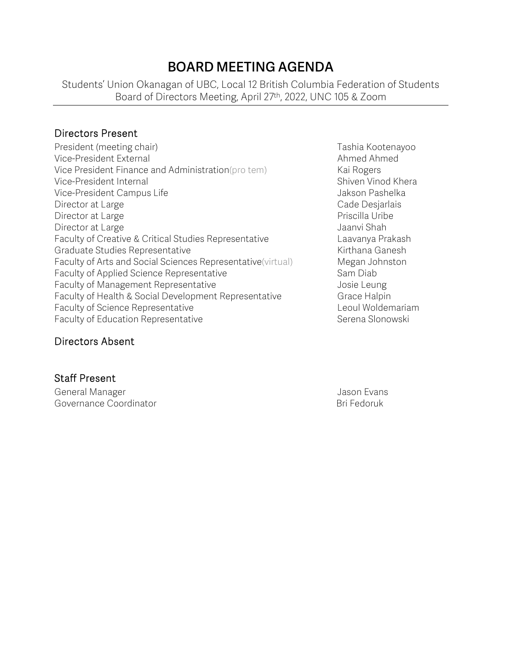# **BOARD MEETING AGENDA**

Students' Union Okanagan of UBC, Local 12 British Columbia Federation of Students Board of Directors Meeting, April 27th, 2022, UNC 105 & Zoom

#### Directors Present

- President (meeting chair) Trashia Kootenayoo Vice-President External Ahmed Ahmed Ahmed Ahmed Ahmed Ahmed Ahmed Ahmed Ahmed Ahmed Ahmed Ahmed Ahmed Ahmed Ahmed Ahmed Ahmed Ahmed Ahmed Ahmed Ahmed Ahmed Ahmed Ahmed Ahmed Ahmed Ahmed Ahmed Ahmed Ahmed Ahmed Ahmed Ahmed Vice President Finance and Administration(pro tem) Kai Rogers Vice-President Internal November 2012 and Shiven Vinod Khera Vice-President Campus Life **Jakson Pashelka** Director at Large Cade Desjarlais Cade Desjarlais Director at Large **Priscilla Uribe** Priscilla Uribe Director at Large Jaanvi Shah Faculty of Creative & Critical Studies Representative **Laavanya Prakash** Graduate Studies Representative **Kirthana Ganesh** Kirthana Ganesh Faculty of Arts and Social Sciences Representative(virtual) Megan Johnston Faculty of Applied Science Representative Sam Diab Faculty of Management Representative **Faculty** of Management Representative Faculty of Health & Social Development Representative Grace Halpin Faculty of Science Representative **Leoul Woldemariam** Faculty of Education Representative **Serena Slonowski** Serena Slonowski
	-

#### Directors Absent

Staff Present General Manager Jason Evans Governance Coordinator **Bri Fedoruk** Bri Fedoruk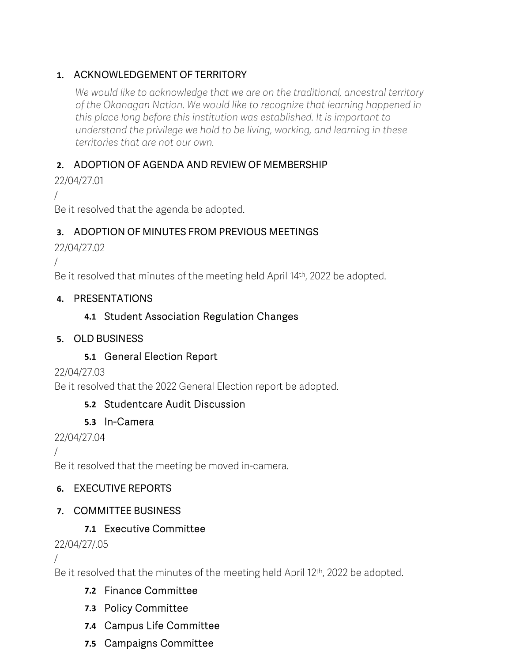### **1.** ACKNOWLEDGEMENT OF TERRITORY

*We would like to acknowledge that we are on the traditional, ancestral territory of the Okanagan Nation. We would like to recognize that learning happened in this place long before this institution was established. It is important to understand the privilege we hold to be living, working, and learning in these territories that are not our own.*

### **2.** ADOPTION OF AGENDA AND REVIEW OF MEMBERSHIP

22/04/27.01

/

Be it resolved that the agenda be adopted.

# **3.** ADOPTION OF MINUTES FROM PREVIOUS MEETINGS

22/04/27.02

/

Be it resolved that minutes of the meeting held April 14<sup>th</sup>, 2022 be adopted.

### **4.** PRESENTATIONS

# **4.1** Student Association Regulation Changes

#### **5.** OLD BUSINESS

# **5.1** General Election Report

22/04/27.03

Be it resolved that the 2022 General Election report be adopted.

# **5.2** Studentcare Audit Discussion

# **5.3** In-Camera

22/04/27.04

/

Be it resolved that the meeting be moved in-camera.

# **6.** EXECUTIVE REPORTS

# **7.** COMMITTEE BUSINESS

# **7.1** Executive Committee

# 22/04/27/.05

/

Be it resolved that the minutes of the meeting held April 12<sup>th</sup>, 2022 be adopted.

- **7.2** Finance Committee
- **7.3** Policy Committee
- **7.4** Campus Life Committee
- **7.5** Campaigns Committee